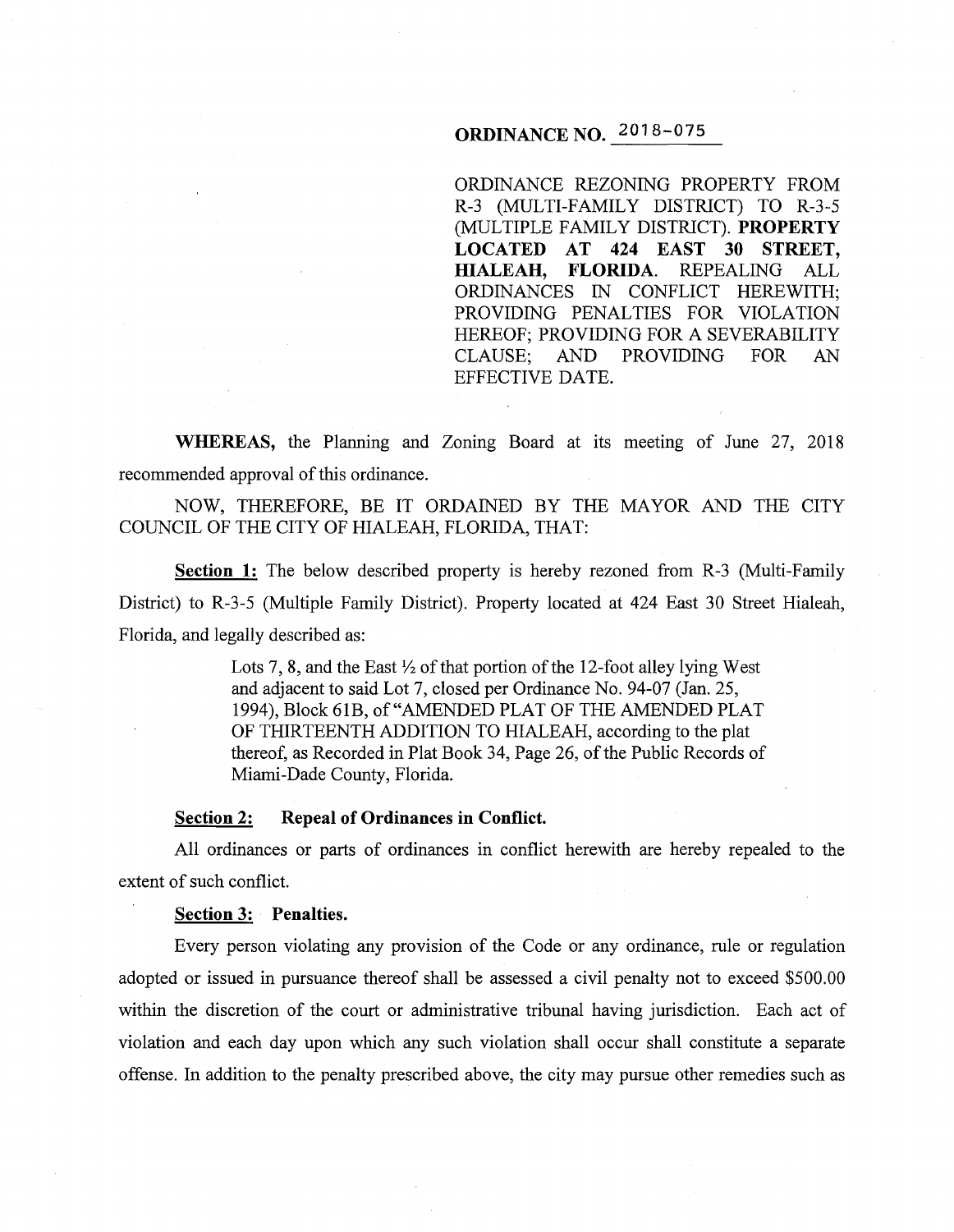# **ORDINANCE NO.** 2018-075

ORDINANCE REZONING PROPERTY FROM R-3 (MULTI-FAMILY DISTRICT) TO R-3-5 (MULTIPLE FAMILY DISTRICT). **PROPERTY LOCATED AT 424 EAST 30 STREET, HIALEAH, FLORIDA.** REPEALING ALL ORDINANCES IN CONFLICT HEREWITH; PROVIDING PENALTIES FOR VIOLATION HEREOF; PROVIDING FOR A SEVERABILITY CLAUSE; AND PROVIDING FOR AN EFFECTIVE DATE.

**WHEREAS,** the Planning and Zoning Board at its meeting of June 27, 2018 recommended approval of this ordinance.

NOW, THEREFORE, BE IT ORDAINED BY THE MAYOR AND THE CITY COUNCIL OF THE CITY OF HIALEAH, FLORIDA, THAT:

**Section 1:** The below described property is hereby rezoned from R-3 (Multi-Family District) to R-3-5 (Multiple Family District). Property located at 424 East 30 Street Hialeah, Florida, and legally described as:

> Lots 7, 8, and the East  $\frac{1}{2}$  of that portion of the 12-foot alley lying West and adjacent to said Lot 7, closed per Ordinance No. 94-07 (Jan. 25, 1994), Block 61B, of"AMENDED PLAT OF THE AMENDED PLAT OF THIRTEENTH ADDITION TO HIALEAH, according to the plat thereof, as Recorded in Plat Book 34, Page 26, of the Public Records of Miami-Dade County, Florida.

## **Section 2: Repeal of Ordinances in Conflict.**

All ordinances or parts of ordinances in conflict herewith are hereby repealed to the extent of such conflict.

#### **Section 3: Penalties.**

Every person violating any provision of the Code or any ordinance, rule or regulation adopted or issued in pursuance thereof shall be assessed a civil penalty not to exceed \$500.00 within the discretion of the court or administrative tribunal having jurisdiction. Each act of violation and each day upon which any such violation shall occur shall constitute a separate offense. In addition to the penalty prescribed above, the city may pursue other remedies such as